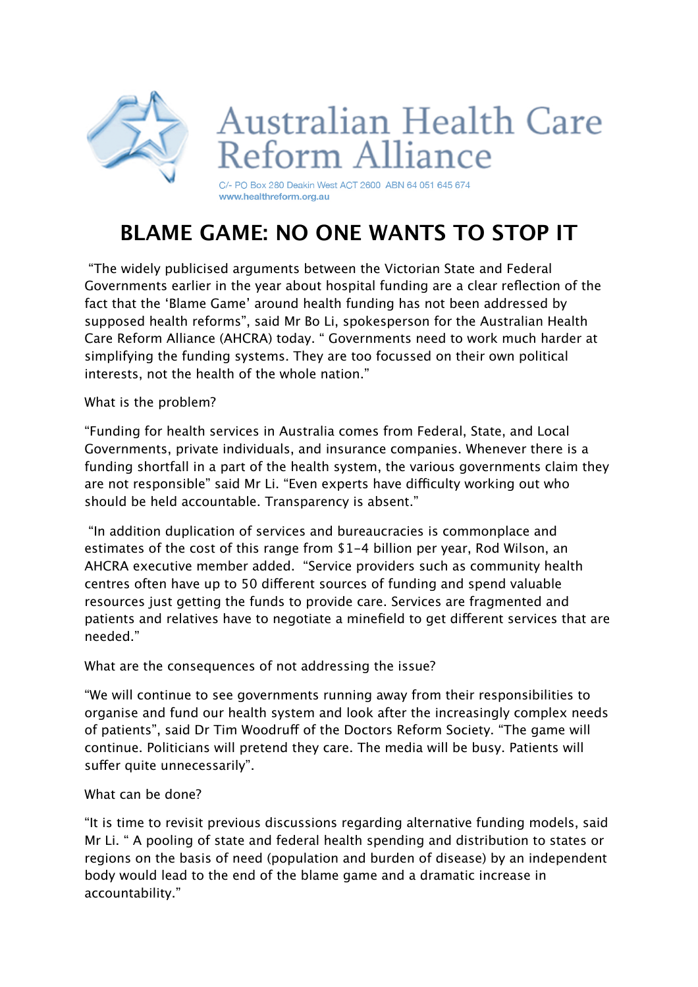

## **BLAME GAME: NO ONE WANTS TO STOP IT**

 "The widely publicised arguments between the Victorian State and Federal Governments earlier in the year about hospital funding are a clear reflection of the fact that the 'Blame Game' around health funding has not been addressed by supposed health reforms", said Mr Bo Li, spokesperson for the Australian Health Care Reform Alliance (AHCRA) today. " Governments need to work much harder at simplifying the funding systems. They are too focussed on their own political interests, not the health of the whole nation."

What is the problem?

"Funding for health services in Australia comes from Federal, State, and Local Governments, private individuals, and insurance companies. Whenever there is a funding shortfall in a part of the health system, the various governments claim they are not responsible" said Mr Li. "Even experts have difficulty working out who should be held accountable. Transparency is absent."

 "In addition duplication of services and bureaucracies is commonplace and estimates of the cost of this range from \$1-4 billion per year, Rod Wilson, an AHCRA executive member added. "Service providers such as community health centres often have up to 50 diferent sources of funding and spend valuable resources just getting the funds to provide care. Services are fragmented and patients and relatives have to negotiate a minefield to get diferent services that are needed."

What are the consequences of not addressing the issue?

"We will continue to see governments running away from their responsibilities to organise and fund our health system and look after the increasingly complex needs of patients", said Dr Tim Woodruff of the Doctors Reform Society. "The game will continue. Politicians will pretend they care. The media will be busy. Patients will suffer quite unnecessarily".

## What can be done?

"It is time to revisit previous discussions regarding alternative funding models, said Mr Li. " A pooling of state and federal health spending and distribution to states or regions on the basis of need (population and burden of disease) by an independent body would lead to the end of the blame game and a dramatic increase in accountability."